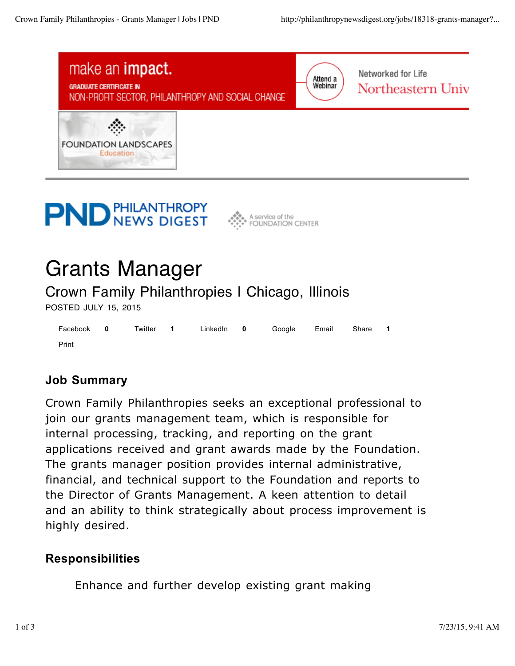





# Grants Manager

Crown Family Philanthropies | Chicago, Illinois

POSTED JULY 15, 2015

|       |  |  | Facebook 0 Twitter 1 Linkedln 0 Google Email Share 1 |  |  |
|-------|--|--|------------------------------------------------------|--|--|
| Print |  |  |                                                      |  |  |

## **Job Summary**

Crown Family Philanthropies seeks an exceptional professional to join our grants management team, which is responsible for internal processing, tracking, and reporting on the grant applications received and grant awards made by the Foundation. The grants manager position provides internal administrative, financial, and technical support to the Foundation and reports to the Director of Grants Management. A keen attention to detail and an ability to think strategically about process improvement is highly desired.

### **Responsibilities**

Enhance and further develop existing grant making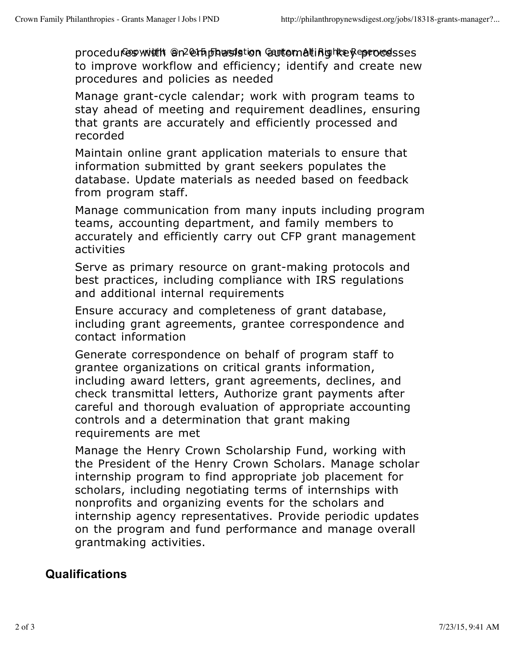procedures with @n2@thphasistion Gantematinghkey eprocesses to improve workflow and efficiency; identify and create new procedures and policies as needed

Manage grant-cycle calendar; work with program teams to stay ahead of meeting and requirement deadlines, ensuring that grants are accurately and efficiently processed and recorded

Maintain online grant application materials to ensure that information submitted by grant seekers populates the database. Update materials as needed based on feedback from program staff.

Manage communication from many inputs including program teams, accounting department, and family members to accurately and efficiently carry out CFP grant management activities

Serve as primary resource on grant-making protocols and best practices, including compliance with IRS regulations and additional internal requirements

Ensure accuracy and completeness of grant database, including grant agreements, grantee correspondence and contact information

Generate correspondence on behalf of program staff to grantee organizations on critical grants information, including award letters, grant agreements, declines, and check transmittal letters, Authorize grant payments after careful and thorough evaluation of appropriate accounting controls and a determination that grant making requirements are met

Manage the Henry Crown Scholarship Fund, working with the President of the Henry Crown Scholars. Manage scholar internship program to find appropriate job placement for scholars, including negotiating terms of internships with nonprofits and organizing events for the scholars and internship agency representatives. Provide periodic updates on the program and fund performance and manage overall grantmaking activities.

### **Qualifications**